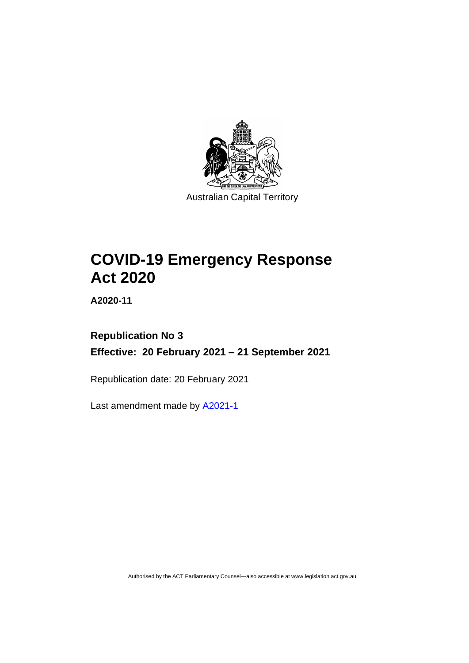

Australian Capital Territory

# **COVID-19 Emergency Response Act 2020**

**A2020-11**

# **Republication No 3 Effective: 20 February 2021 – 21 September 2021**

Republication date: 20 February 2021

Last amendment made by [A2021-1](http://www.legislation.act.gov.au/a/2021-1/)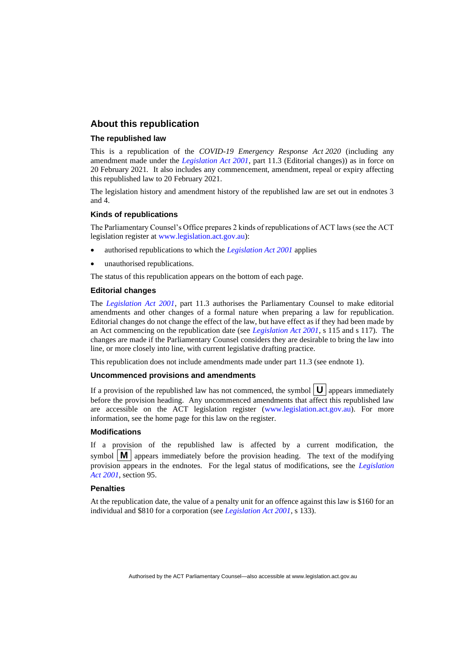# **About this republication**

#### **The republished law**

This is a republication of the *COVID-19 Emergency Response Act 2020* (including any amendment made under the *[Legislation Act 2001](http://www.legislation.act.gov.au/a/2001-14)*, part 11.3 (Editorial changes)) as in force on 20 February 2021*.* It also includes any commencement, amendment, repeal or expiry affecting this republished law to 20 February 2021.

The legislation history and amendment history of the republished law are set out in endnotes 3 and 4.

#### **Kinds of republications**

The Parliamentary Counsel's Office prepares 2 kinds of republications of ACT laws (see the ACT legislation register at [www.legislation.act.gov.au\)](http://www.legislation.act.gov.au/):

- authorised republications to which the *[Legislation Act 2001](http://www.legislation.act.gov.au/a/2001-14)* applies
- unauthorised republications.

The status of this republication appears on the bottom of each page.

#### **Editorial changes**

The *[Legislation Act 2001](http://www.legislation.act.gov.au/a/2001-14)*, part 11.3 authorises the Parliamentary Counsel to make editorial amendments and other changes of a formal nature when preparing a law for republication. Editorial changes do not change the effect of the law, but have effect as if they had been made by an Act commencing on the republication date (see *[Legislation Act 2001](http://www.legislation.act.gov.au/a/2001-14)*, s 115 and s 117). The changes are made if the Parliamentary Counsel considers they are desirable to bring the law into line, or more closely into line, with current legislative drafting practice.

This republication does not include amendments made under part 11.3 (see endnote 1).

#### **Uncommenced provisions and amendments**

If a provision of the republished law has not commenced, the symbol  $\mathbf{U}$  appears immediately before the provision heading. Any uncommenced amendments that affect this republished law are accessible on the ACT legislation register [\(www.legislation.act.gov.au\)](http://www.legislation.act.gov.au/). For more information, see the home page for this law on the register.

#### **Modifications**

If a provision of the republished law is affected by a current modification, the symbol  $\mathbf{M}$  appears immediately before the provision heading. The text of the modifying provision appears in the endnotes. For the legal status of modifications, see the *[Legislation](http://www.legislation.act.gov.au/a/2001-14)  Act [2001](http://www.legislation.act.gov.au/a/2001-14)*, section 95.

#### **Penalties**

At the republication date, the value of a penalty unit for an offence against this law is \$160 for an individual and \$810 for a corporation (see *[Legislation Act 2001](http://www.legislation.act.gov.au/a/2001-14)*, s 133).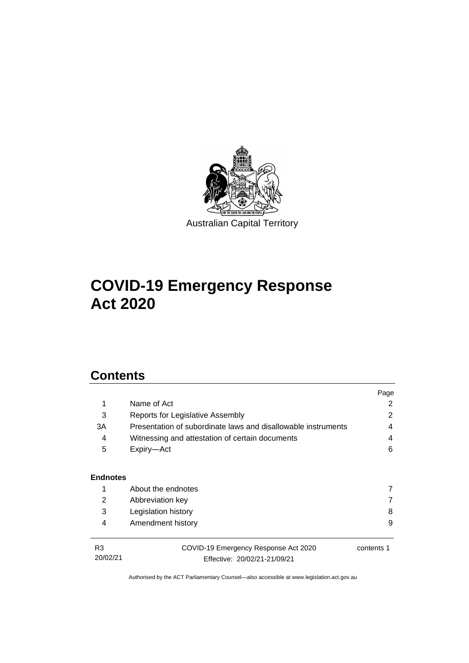

# **COVID-19 Emergency Response Act 2020**

# **Contents**

|                            |                                                                      | Page       |  |  |
|----------------------------|----------------------------------------------------------------------|------------|--|--|
| 1                          | Name of Act                                                          | 2          |  |  |
| 3                          | Reports for Legislative Assembly                                     |            |  |  |
| ЗA                         | Presentation of subordinate laws and disallowable instruments        | 4          |  |  |
| 4                          | Witnessing and attestation of certain documents                      |            |  |  |
| 5                          | Expiry-Act                                                           | 6          |  |  |
| <b>Endnotes</b>            |                                                                      |            |  |  |
| 1                          | About the endnotes                                                   | 7          |  |  |
| 2                          | Abbreviation key                                                     | 7          |  |  |
| 3                          | Legislation history                                                  | 8          |  |  |
| 4                          | Amendment history                                                    | 9          |  |  |
| R <sub>3</sub><br>20/02/21 | COVID-19 Emergency Response Act 2020<br>Effective: 20/02/21-21/09/21 | contents 1 |  |  |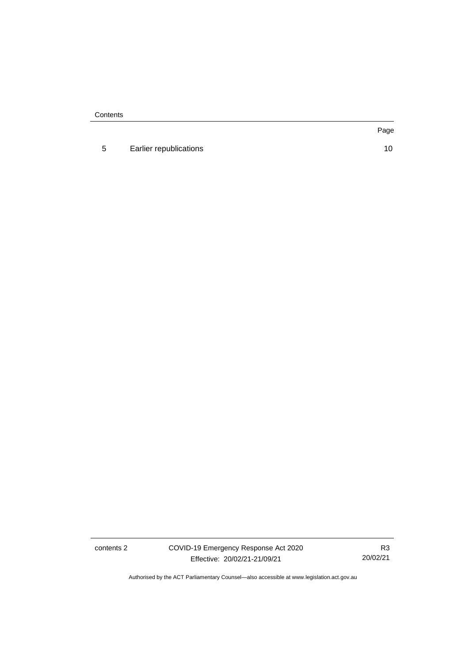**Contents** 

5 [Earlier republications](#page-13-0) 10

Page

contents 2 COVID-19 Emergency Response Act 2020 Effective: 20/02/21-21/09/21

R3 20/02/21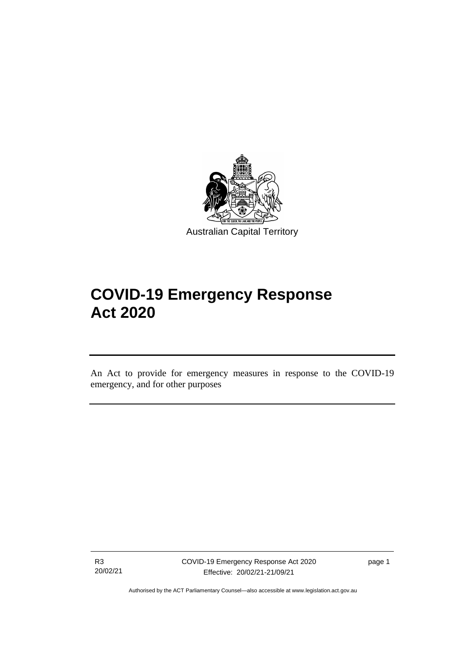

Australian Capital Territory

# **COVID-19 Emergency Response Act 2020**

An Act to provide for emergency measures in response to the COVID-19 emergency, and for other purposes

R3 20/02/21

ֺ֝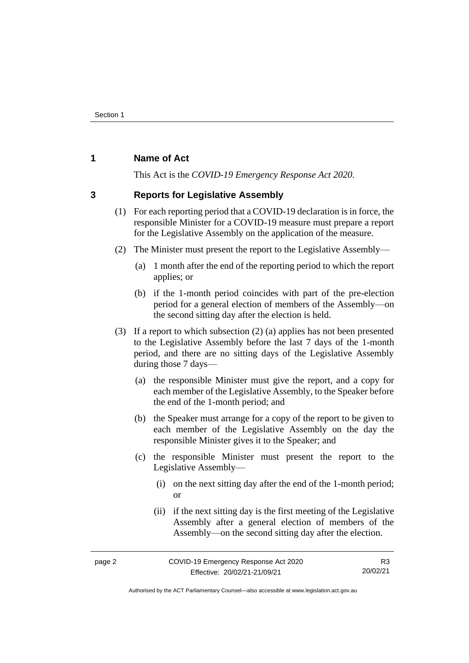# <span id="page-5-0"></span>**1 Name of Act**

This Act is the *COVID-19 Emergency Response Act 2020*.

# <span id="page-5-1"></span>**3 Reports for Legislative Assembly**

- (1) For each reporting period that a COVID-19 declaration is in force, the responsible Minister for a COVID-19 measure must prepare a report for the Legislative Assembly on the application of the measure.
- (2) The Minister must present the report to the Legislative Assembly—
	- (a) 1 month after the end of the reporting period to which the report applies; or
	- (b) if the 1-month period coincides with part of the pre-election period for a general election of members of the Assembly—on the second sitting day after the election is held.
- (3) If a report to which subsection (2) (a) applies has not been presented to the Legislative Assembly before the last 7 days of the 1-month period, and there are no sitting days of the Legislative Assembly during those 7 days—
	- (a) the responsible Minister must give the report, and a copy for each member of the Legislative Assembly, to the Speaker before the end of the 1-month period; and
	- (b) the Speaker must arrange for a copy of the report to be given to each member of the Legislative Assembly on the day the responsible Minister gives it to the Speaker; and
	- (c) the responsible Minister must present the report to the Legislative Assembly—
		- (i) on the next sitting day after the end of the 1-month period; or
		- (ii) if the next sitting day is the first meeting of the Legislative Assembly after a general election of members of the Assembly—on the second sitting day after the election.

Authorised by the ACT Parliamentary Counsel—also accessible at www.legislation.act.gov.au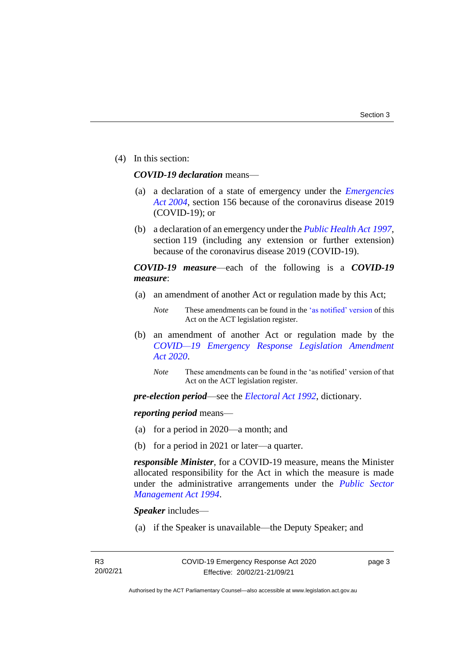(4) In this section:

### *COVID-19 declaration* means—

- (a) a declaration of a state of emergency under the *[Emergencies](http://www.legislation.act.gov.au/a/2004-28)  Act [2004](http://www.legislation.act.gov.au/a/2004-28)*, section 156 because of the coronavirus disease 2019 (COVID-19); or
- (b) a declaration of an emergency under the *[Public Health Act](http://www.legislation.act.gov.au/a/1997-69) 1997*, section 119 (including any extension or further extension) because of the coronavirus disease 2019 (COVID-19).

# *COVID-19 measure*—each of the following is a *COVID-19 measure*:

(a) an amendment of another Act or regulation made by this Act;

- (b) an amendment of another Act or regulation made by the *[COVID—19 Emergency Response Legislation Amendment](http://www.legislation.act.gov.au/a/2020-14/)  Act [2020](http://www.legislation.act.gov.au/a/2020-14/)*.
	- *Note* These amendments can be found in the 'as notified' version of that Act on the ACT legislation register.

*pre-election period*—see the *[Electoral Act 1992](http://www.legislation.act.gov.au/a/1992-71)*, dictionary.

### *reporting period* means—

- (a) for a period in 2020—a month; and
- (b) for a period in 2021 or later—a quarter.

*responsible Minister*, for a COVID-19 measure, means the Minister allocated responsibility for the Act in which the measure is made under the administrative arrangements under the *[Public Sector](http://www.legislation.act.gov.au/a/1994-37)  [Management Act 1994](http://www.legislation.act.gov.au/a/1994-37)*.

*Speaker* includes—

(a) if the Speaker is unavailable—the Deputy Speaker; and

page 3

*Note* These amendments can be found in th[e 'as notified' version](https://legislation.act.gov.au/DownloadFile/a/2020-11/20200408-73648/PDF/2020-11.PDF) of this Act on the ACT legislation register.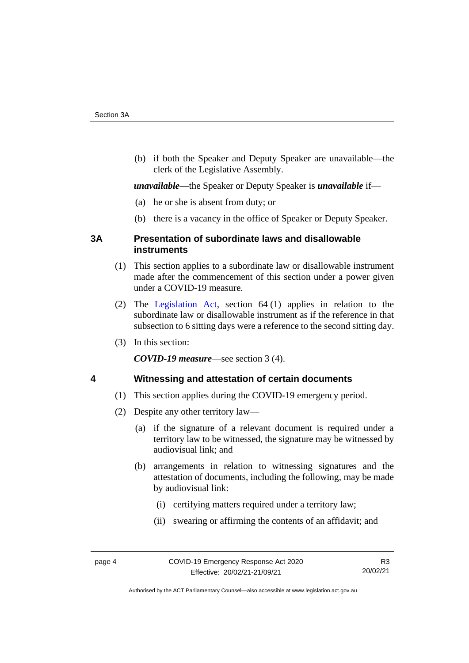(b) if both the Speaker and Deputy Speaker are unavailable—the clerk of the Legislative Assembly.

*unavailable—*the Speaker or Deputy Speaker is *unavailable* if—

- (a) he or she is absent from duty; or
- (b) there is a vacancy in the office of Speaker or Deputy Speaker.

# <span id="page-7-0"></span>**3A Presentation of subordinate laws and disallowable instruments**

- (1) This section applies to a subordinate law or disallowable instrument made after the commencement of this section under a power given under a COVID-19 measure.
- (2) The [Legislation Act,](http://www.legislation.act.gov.au/a/2001-14) section 64 (1) applies in relation to the subordinate law or disallowable instrument as if the reference in that subsection to 6 sitting days were a reference to the second sitting day.
- (3) In this section:

*COVID-19 measure*—see section 3 (4).

# <span id="page-7-1"></span>**4 Witnessing and attestation of certain documents**

- (1) This section applies during the COVID-19 emergency period.
- (2) Despite any other territory law—
	- (a) if the signature of a relevant document is required under a territory law to be witnessed, the signature may be witnessed by audiovisual link; and
	- (b) arrangements in relation to witnessing signatures and the attestation of documents, including the following, may be made by audiovisual link:
		- (i) certifying matters required under a territory law;
		- (ii) swearing or affirming the contents of an affidavit; and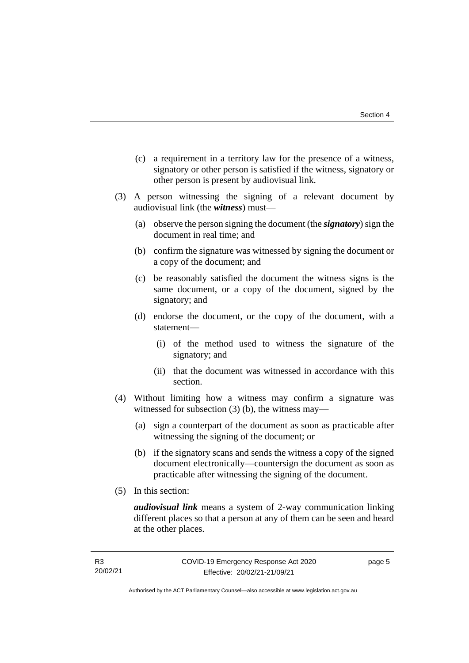- (c) a requirement in a territory law for the presence of a witness, signatory or other person is satisfied if the witness, signatory or other person is present by audiovisual link.
- (3) A person witnessing the signing of a relevant document by audiovisual link (the *witness*) must—
	- (a) observe the person signing the document (the *signatory*) sign the document in real time; and
	- (b) confirm the signature was witnessed by signing the document or a copy of the document; and
	- (c) be reasonably satisfied the document the witness signs is the same document, or a copy of the document, signed by the signatory; and
	- (d) endorse the document, or the copy of the document, with a statement—
		- (i) of the method used to witness the signature of the signatory; and
		- (ii) that the document was witnessed in accordance with this section.
- (4) Without limiting how a witness may confirm a signature was witnessed for subsection (3) (b), the witness may—
	- (a) sign a counterpart of the document as soon as practicable after witnessing the signing of the document; or
	- (b) if the signatory scans and sends the witness a copy of the signed document electronically—countersign the document as soon as practicable after witnessing the signing of the document.
- (5) In this section:

*audiovisual link* means a system of 2-way communication linking different places so that a person at any of them can be seen and heard at the other places.

page 5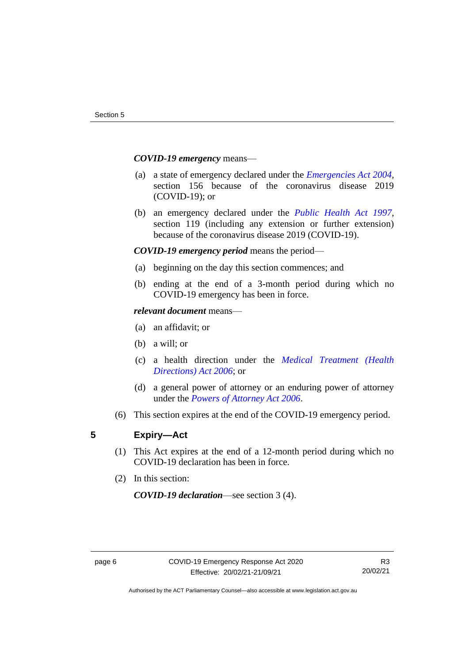### *COVID-19 emergency* means—

- (a) a state of emergency declared under the *[Emergencies Act 2004](http://www.legislation.act.gov.au/a/2004-28)*, section 156 because of the coronavirus disease 2019 (COVID-19); or
- (b) an emergency declared under the *[Public Health Act 1997](http://www.legislation.act.gov.au/a/1997-69)*, section 119 (including any extension or further extension) because of the coronavirus disease 2019 (COVID-19).

### *COVID-19 emergency period* means the period—

- (a) beginning on the day this section commences; and
- (b) ending at the end of a 3-month period during which no COVID-19 emergency has been in force.

#### *relevant document* means—

- (a) an affidavit; or
- (b) a will; or
- (c) a health direction under the *[Medical Treatment \(Health](http://www.legislation.act.gov.au/a/2006-51)  [Directions\) Act 2006](http://www.legislation.act.gov.au/a/2006-51)*; or
- (d) a general power of attorney or an enduring power of attorney under the *Powers [of Attorney Act 2006](http://www.legislation.act.gov.au/a/2006-50)*.
- (6) This section expires at the end of the COVID-19 emergency period.

### <span id="page-9-0"></span>**5 Expiry—Act**

- (1) This Act expires at the end of a 12-month period during which no COVID-19 declaration has been in force.
- (2) In this section:

*COVID-19 declaration*—see section 3 (4).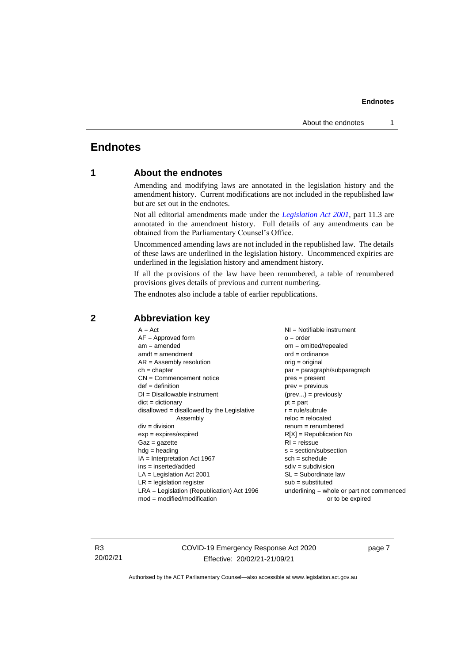# <span id="page-10-1"></span><span id="page-10-0"></span>**Endnotes**

# **1 About the endnotes**

Amending and modifying laws are annotated in the legislation history and the amendment history. Current modifications are not included in the republished law but are set out in the endnotes.

Not all editorial amendments made under the *[Legislation Act 2001](http://www.legislation.act.gov.au/a/2001-14)*, part 11.3 are annotated in the amendment history. Full details of any amendments can be obtained from the Parliamentary Counsel's Office.

Uncommenced amending laws are not included in the republished law. The details of these laws are underlined in the legislation history. Uncommenced expiries are underlined in the legislation history and amendment history.

If all the provisions of the law have been renumbered, a table of renumbered provisions gives details of previous and current numbering.

The endnotes also include a table of earlier republications.

| $A = Act$                                    | $NI =$ Notifiable instrument                |  |
|----------------------------------------------|---------------------------------------------|--|
| $AF =$ Approved form                         | $o = order$                                 |  |
| $am = amended$                               | $om = omitted/repealed$                     |  |
| $amdt = amendment$                           | $ord = ordinance$                           |  |
| $AR = Assembly$ resolution                   | $orig = original$                           |  |
| $ch = chapter$                               | par = paragraph/subparagraph                |  |
| $CN =$ Commencement notice                   | $pres = present$                            |  |
| $def = definition$                           | $prev = previous$                           |  |
| $DI = Disallowable instrument$               | $(\text{prev}) = \text{previously}$         |  |
| $dict = dictionary$                          | $pt = part$                                 |  |
| disallowed = disallowed by the Legislative   | $r = rule/subrule$                          |  |
| Assembly                                     | $reloc = relocated$                         |  |
| $div = division$                             | $remum = renumbered$                        |  |
| $exp = expires/expired$                      | $R[X]$ = Republication No                   |  |
| $Gaz = gazette$                              | $RI =$ reissue                              |  |
| $hdg =$ heading                              | $s = section/subsection$                    |  |
| $IA = Interpretation Act 1967$               | $sch = schedule$                            |  |
| $ins = inserted/added$                       | $sdiv = subdivision$                        |  |
| $LA =$ Legislation Act 2001                  | $SL = Subordinate$ law                      |  |
| $LR =$ legislation register                  | $sub =$ substituted                         |  |
| $LRA =$ Legislation (Republication) Act 1996 | $underlining = whole or part not commenced$ |  |
| $mod = modified/modification$                | or to be expired                            |  |
|                                              |                                             |  |

# <span id="page-10-2"></span>**2 Abbreviation key**

R3 20/02/21 COVID-19 Emergency Response Act 2020 Effective: 20/02/21-21/09/21

page 7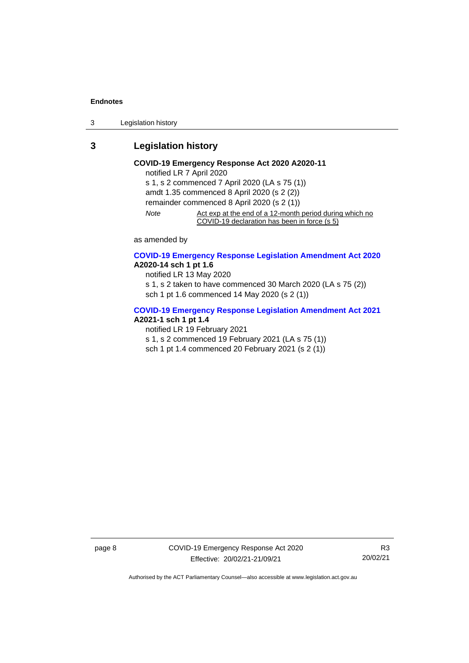3 Legislation history

# <span id="page-11-0"></span>**3 Legislation history**

#### **COVID-19 Emergency Response Act 2020 A2020-11** notified LR 7 April 2020

s 1, s 2 commenced 7 April 2020 (LA s 75 (1)) amdt 1.35 commenced 8 April 2020 (s 2 (2)) remainder commenced 8 April 2020 (s 2 (1)) *Note* Act exp at the end of a 12-month period during which no COVID-19 declaration has been in force (s 5)

as amended by

### **[COVID-19 Emergency Response Legislation Amendment Act 2020](http://www.legislation.act.gov.au/a/2020-14/) A2020-14 sch 1 pt 1.6**

notified LR 13 May 2020

s 1, s 2 taken to have commenced 30 March 2020 (LA s 75 (2)) sch 1 pt 1.6 commenced 14 May 2020 (s 2 (1))

#### **[COVID-19 Emergency Response Legislation Amendment Act 2021](http://www.legislation.act.gov.au/a/2021-1/) A2021-1 sch 1 pt 1.4**

notified LR 19 February 2021

s 1, s 2 commenced 19 February 2021 (LA s 75 (1))

sch 1 pt 1.4 commenced 20 February 2021 (s 2 (1))

page 8 COVID-19 Emergency Response Act 2020 Effective: 20/02/21-21/09/21

R3 20/02/21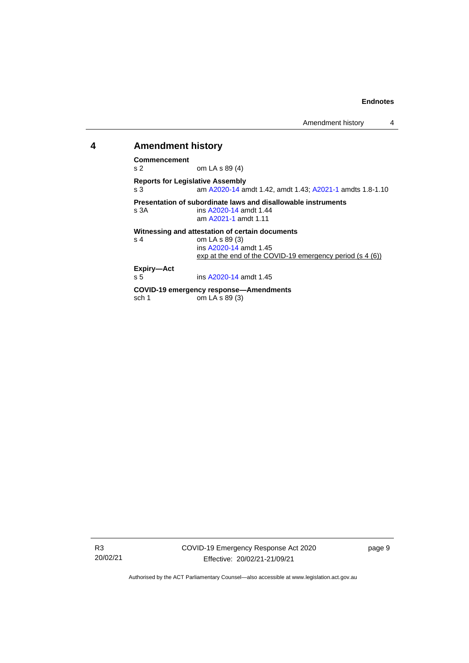# <span id="page-12-0"></span>**4 Amendment history**

# **Commencement**

om LA s 89 (4)

**Reports for Legislative Assembly** s 3 am [A2020-14](http://www.legislation.act.gov.au/a/2020-14/) amdt 1.42, amdt 1.43[; A2021-1](http://www.legislation.act.gov.au/a/2021-1/) amdts 1.8-1.10

**Presentation of subordinate laws and disallowable instruments**<br>s 3A **ins A2020-14** amdt 1.44 ins [A2020-14](http://www.legislation.act.gov.au/a/2020-14/) amdt 1.44

ins [A2020-14](http://www.legislation.act.gov.au/a/2020-14/) amdt 1.45

am [A2021-1](http://www.legislation.act.gov.au/a/2021-1/) amdt 1.11

**Witnessing and attestation of certain documents**<br>s 4  $om LA S 89 (3)$ om LA s 89 (3) ins [A2020-14](http://www.legislation.act.gov.au/a/2020-14/) amdt 1.45 exp at the end of the COVID-19 emergency period (s 4 (6))

**Expiry—Act**

#### **COVID-19 emergency response—Amendments** om LA s  $89(3)$

R3 20/02/21 page 9